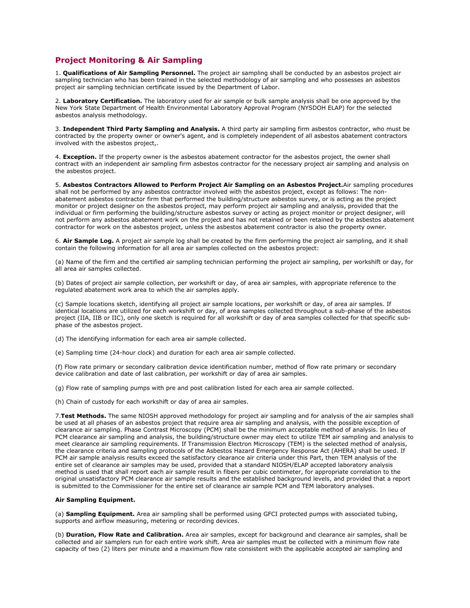# **Project Monitoring & Air Sampling**

1. **Qualifications of Air Sampling Personnel.** The project air sampling shall be conducted by an asbestos project air sampling technician who has been trained in the selected methodology of air sampling and who possesses an asbestos project air sampling technician certificate issued by the Department of Labor.

2. **Laboratory Certification.** The laboratory used for air sample or bulk sample analysis shall be one approved by the New York State Department of Health Environmental Laboratory Approval Program (NYSDOH ELAP) for the selected asbestos analysis methodology.

3. **Independent Third Party Sampling and Analysis.** A third party air sampling firm asbestos contractor, who must be contracted by the property owner or owner's agent, and is completely independent of all asbestos abatement contractors involved with the asbestos project,.

4. **Exception.** If the property owner is the asbestos abatement contractor for the asbestos project, the owner shall contract with an independent air sampling firm asbestos contractor for the necessary project air sampling and analysis on the asbestos project.

5. **Asbestos Contractors Allowed to Perform Project Air Sampling on an Asbestos Project.**Air sampling procedures shall not be performed by any asbestos contractor involved with the asbestos project, except as follows: The nonabatement asbestos contractor firm that performed the building/structure asbestos survey, or is acting as the project monitor or project designer on the asbestos project, may perform project air sampling and analysis, provided that the individual or firm performing the building/structure asbestos survey or acting as project monitor or project designer, will not perform any asbestos abatement work on the project and has not retained or been retained by the asbestos abatement contractor for work on the asbestos project, unless the asbestos abatement contractor is also the property owner.

6. **Air Sample Log.** A project air sample log shall be created by the firm performing the project air sampling, and it shall contain the following information for all area air samples collected on the asbestos project:

(a) Name of the firm and the certified air sampling technician performing the project air sampling, per workshift or day, for all area air samples collected.

(b) Dates of project air sample collection, per workshift or day, of area air samples, with appropriate reference to the regulated abatement work area to which the air samples apply.

(c) Sample locations sketch, identifying all project air sample locations, per workshift or day, of area air samples. If identical locations are utilized for each workshift or day, of area samples collected throughout a sub-phase of the asbestos project (IIA, IIB or IIC), only one sketch is required for all workshift or day of area samples collected for that specific subphase of the asbestos project.

(d) The identifying information for each area air sample collected.

(e) Sampling time (24-hour clock) and duration for each area air sample collected.

(f) Flow rate primary or secondary calibration device identification number, method of flow rate primary or secondary device calibration and date of last calibration, per workshift or day of area air samples.

(g) Flow rate of sampling pumps with pre and post calibration listed for each area air sample collected.

(h) Chain of custody for each workshift or day of area air samples.

7.**Test Methods.** The same NIOSH approved methodology for project air sampling and for analysis of the air samples shall be used at all phases of an asbestos project that require area air sampling and analysis, with the possible exception of clearance air sampling. Phase Contrast Microscopy (PCM) shall be the minimum acceptable method of analysis. In lieu of PCM clearance air sampling and analysis, the building/structure owner may elect to utilize TEM air sampling and analysis to meet clearance air sampling requirements. If Transmission Electron Microscopy (TEM) is the selected method of analysis, the clearance criteria and sampling protocols of the Asbestos Hazard Emergency Response Act (AHERA) shall be used. If PCM air sample analysis results exceed the satisfactory clearance air criteria under this Part, then TEM analysis of the entire set of clearance air samples may be used, provided that a standard NIOSH/ELAP accepted laboratory analysis method is used that shall report each air sample result in fibers per cubic centimeter, for appropriate correlation to the original unsatisfactory PCM clearance air sample results and the established background levels, and provided that a report is submitted to the Commissioner for the entire set of clearance air sample PCM and TEM laboratory analyses.

# **Air Sampling Equipment.**

(a) **Sampling Equipment.** Area air sampling shall be performed using GFCI protected pumps with associated tubing, supports and airflow measuring, metering or recording devices.

(b) **Duration, Flow Rate and Calibration.** Area air samples, except for background and clearance air samples, shall be collected and air samplers run for each entire work shift. Area air samples must be collected with a minimum flow rate capacity of two (2) liters per minute and a maximum flow rate consistent with the applicable accepted air sampling and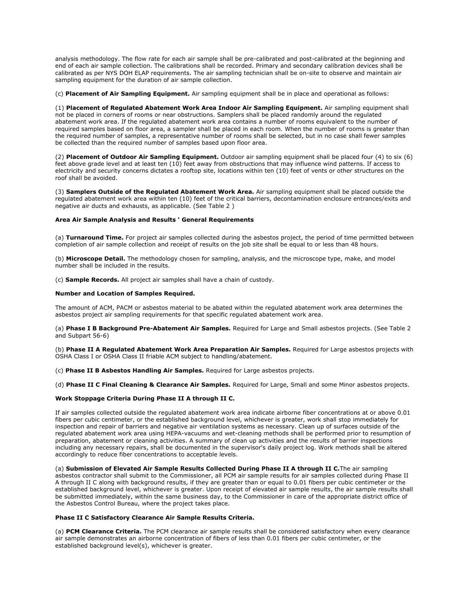analysis methodology. The flow rate for each air sample shall be pre-calibrated and post-calibrated at the beginning and end of each air sample collection. The calibrations shall be recorded. Primary and secondary calibration devices shall be calibrated as per NYS DOH ELAP requirements. The air sampling technician shall be on-site to observe and maintain air sampling equipment for the duration of air sample collection.

(c) **Placement of Air Sampling Equipment.** Air sampling equipment shall be in place and operational as follows:

(1) **Placement of Regulated Abatement Work Area Indoor Air Sampling Equipment.** Air sampling equipment shall not be placed in corners of rooms or near obstructions. Samplers shall be placed randomly around the regulated abatement work area. If the regulated abatement work area contains a number of rooms equivalent to the number of required samples based on floor area, a sampler shall be placed in each room. When the number of rooms is greater than the required number of samples, a representative number of rooms shall be selected, but in no case shall fewer samples be collected than the required number of samples based upon floor area.

(2) **Placement of Outdoor Air Sampling Equipment.** Outdoor air sampling equipment shall be placed four (4) to six (6) feet above grade level and at least ten (10) feet away from obstructions that may influence wind patterns. If access to electricity and security concerns dictates a rooftop site, locations within ten (10) feet of vents or other structures on the roof shall be avoided.

(3) **Samplers Outside of the Regulated Abatement Work Area.** Air sampling equipment shall be placed outside the regulated abatement work area within ten (10) feet of the critical barriers, decontamination enclosure entrances/exits and negative air ducts and exhausts, as applicable. (See Table 2 )

# **Area Air Sample Analysis and Results ' General Requirements**

(a) **Turnaround Time.** For project air samples collected during the asbestos project, the period of time permitted between completion of air sample collection and receipt of results on the job site shall be equal to or less than 48 hours.

(b) **Microscope Detail.** The methodology chosen for sampling, analysis, and the microscope type, make, and model number shall be included in the results.

(c) **Sample Records.** All project air samples shall have a chain of custody.

# **Number and Location of Samples Required.**

The amount of ACM, PACM or asbestos material to be abated within the regulated abatement work area determines the asbestos project air sampling requirements for that specific regulated abatement work area.

(a) **Phase I B Background Pre-Abatement Air Samples.** Required for Large and Small asbestos projects. (See Table 2 and Subpart 56-6)

(b) **Phase II A Regulated Abatement Work Area Preparation Air Samples.** Required for Large asbestos projects with OSHA Class I or OSHA Class II friable ACM subject to handling/abatement.

(c) **Phase II B Asbestos Handling Air Samples.** Required for Large asbestos projects.

(d) **Phase II C Final Cleaning & Clearance Air Samples.** Required for Large, Small and some Minor asbestos projects.

# **Work Stoppage Criteria During Phase II A through II C.**

If air samples collected outside the regulated abatement work area indicate airborne fiber concentrations at or above 0.01 fibers per cubic centimeter, or the established background level, whichever is greater, work shall stop immediately for inspection and repair of barriers and negative air ventilation systems as necessary. Clean up of surfaces outside of the regulated abatement work area using HEPA-vacuums and wet-cleaning methods shall be performed prior to resumption of preparation, abatement or cleaning activities. A summary of clean up activities and the results of barrier inspections including any necessary repairs, shall be documented in the supervisor's daily project log. Work methods shall be altered accordingly to reduce fiber concentrations to acceptable levels.

(a) **Submission of Elevated Air Sample Results Collected During Phase II A through II C.**The air sampling asbestos contractor shall submit to the Commissioner, all PCM air sample results for air samples collected during Phase II A through II C along with background results, if they are greater than or equal to 0.01 fibers per cubic centimeter or the established background level, whichever is greater. Upon receipt of elevated air sample results, the air sample results shall be submitted immediately, within the same business day, to the Commissioner in care of the appropriate district office of the Asbestos Control Bureau, where the project takes place.

### **Phase II C Satisfactory Clearance Air Sample Results Criteria.**

(a) **PCM Clearance Criteria.** The PCM clearance air sample results shall be considered satisfactory when every clearance air sample demonstrates an airborne concentration of fibers of less than 0.01 fibers per cubic centimeter, or the established background level(s), whichever is greater.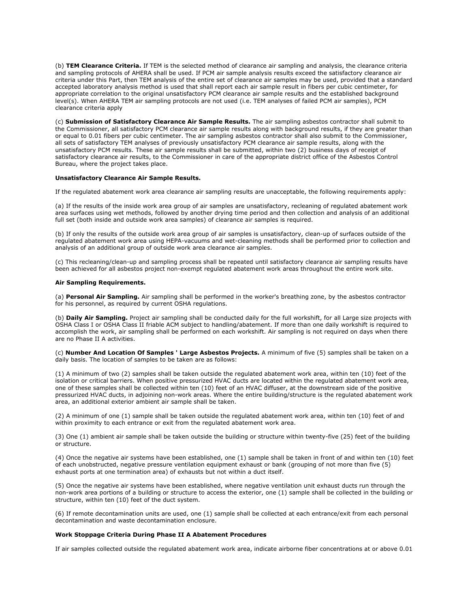(b) **TEM Clearance Criteria.** If TEM is the selected method of clearance air sampling and analysis, the clearance criteria and sampling protocols of AHERA shall be used. If PCM air sample analysis results exceed the satisfactory clearance air criteria under this Part, then TEM analysis of the entire set of clearance air samples may be used, provided that a standard accepted laboratory analysis method is used that shall report each air sample result in fibers per cubic centimeter, for appropriate correlation to the original unsatisfactory PCM clearance air sample results and the established background level(s). When AHERA TEM air sampling protocols are not used (i.e. TEM analyses of failed PCM air samples), PCM clearance criteria apply

(c) **Submission of Satisfactory Clearance Air Sample Results.** The air sampling asbestos contractor shall submit to the Commissioner, all satisfactory PCM clearance air sample results along with background results, if they are greater than or equal to 0.01 fibers per cubic centimeter. The air sampling asbestos contractor shall also submit to the Commissioner, all sets of satisfactory TEM analyses of previously unsatisfactory PCM clearance air sample results, along with the unsatisfactory PCM results. These air sample results shall be submitted, within two (2) business days of receipt of satisfactory clearance air results, to the Commissioner in care of the appropriate district office of the Asbestos Control Bureau, where the project takes place.

# **Unsatisfactory Clearance Air Sample Results.**

If the regulated abatement work area clearance air sampling results are unacceptable, the following requirements apply:

(a) If the results of the inside work area group of air samples are unsatisfactory, recleaning of regulated abatement work area surfaces using wet methods, followed by another drying time period and then collection and analysis of an additional full set (both inside and outside work area samples) of clearance air samples is required.

(b) If only the results of the outside work area group of air samples is unsatisfactory, clean-up of surfaces outside of the regulated abatement work area using HEPA-vacuums and wet-cleaning methods shall be performed prior to collection and analysis of an additional group of outside work area clearance air samples.

(c) This recleaning/clean-up and sampling process shall be repeated until satisfactory clearance air sampling results have been achieved for all asbestos project non-exempt regulated abatement work areas throughout the entire work site.

# **Air Sampling Requirements.**

(a) **Personal Air Sampling.** Air sampling shall be performed in the worker's breathing zone, by the asbestos contractor for his personnel, as required by current OSHA regulations.

(b) **Daily Air Sampling.** Project air sampling shall be conducted daily for the full workshift, for all Large size projects with OSHA Class I or OSHA Class II friable ACM subject to handling/abatement. If more than one daily workshift is required to accomplish the work, air sampling shall be performed on each workshift. Air sampling is not required on days when there are no Phase II A activities.

(c) **Number And Location Of Samples ' Large Asbestos Projects.** A minimum of five (5) samples shall be taken on a daily basis. The location of samples to be taken are as follows:

(1) A minimum of two (2) samples shall be taken outside the regulated abatement work area, within ten (10) feet of the isolation or critical barriers. When positive pressurized HVAC ducts are located within the regulated abatement work area, one of these samples shall be collected within ten (10) feet of an HVAC diffuser, at the downstream side of the positive pressurized HVAC ducts, in adjoining non-work areas. Where the entire building/structure is the regulated abatement work area, an additional exterior ambient air sample shall be taken.

(2) A minimum of one (1) sample shall be taken outside the regulated abatement work area, within ten (10) feet of and within proximity to each entrance or exit from the regulated abatement work area.

(3) One (1) ambient air sample shall be taken outside the building or structure within twenty-five (25) feet of the building or structure.

(4) Once the negative air systems have been established, one (1) sample shall be taken in front of and within ten (10) feet of each unobstructed, negative pressure ventilation equipment exhaust or bank (grouping of not more than five (5) exhaust ports at one termination area) of exhausts but not within a duct itself.

(5) Once the negative air systems have been established, where negative ventilation unit exhaust ducts run through the non-work area portions of a building or structure to access the exterior, one (1) sample shall be collected in the building or structure, within ten (10) feet of the duct system.

(6) If remote decontamination units are used, one (1) sample shall be collected at each entrance/exit from each personal decontamination and waste decontamination enclosure.

#### **Work Stoppage Criteria During Phase II A Abatement Procedures**

If air samples collected outside the regulated abatement work area, indicate airborne fiber concentrations at or above 0.01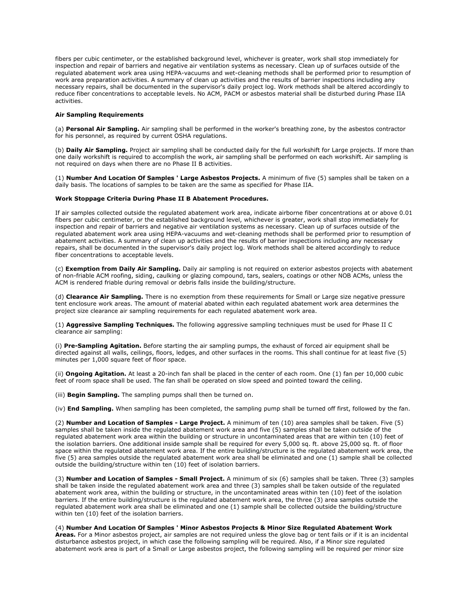fibers per cubic centimeter, or the established background level, whichever is greater, work shall stop immediately for inspection and repair of barriers and negative air ventilation systems as necessary. Clean up of surfaces outside of the regulated abatement work area using HEPA-vacuums and wet-cleaning methods shall be performed prior to resumption of work area preparation activities. A summary of clean up activities and the results of barrier inspections including any necessary repairs, shall be documented in the supervisor's daily project log. Work methods shall be altered accordingly to reduce fiber concentrations to acceptable levels. No ACM, PACM or asbestos material shall be disturbed during Phase IIA activities.

# **Air Sampling Requirements**

(a) **Personal Air Sampling.** Air sampling shall be performed in the worker's breathing zone, by the asbestos contractor for his personnel, as required by current OSHA regulations.

(b) **Daily Air Sampling.** Project air sampling shall be conducted daily for the full workshift for Large projects. If more than one daily workshift is required to accomplish the work, air sampling shall be performed on each workshift. Air sampling is not required on days when there are no Phase II B activities.

(1) **Number And Location Of Samples ' Large Asbestos Projects.** A minimum of five (5) samples shall be taken on a daily basis. The locations of samples to be taken are the same as specified for Phase IIA.

# **Work Stoppage Criteria During Phase II B Abatement Procedures.**

If air samples collected outside the regulated abatement work area, indicate airborne fiber concentrations at or above 0.01 fibers per cubic centimeter, or the established background level, whichever is greater, work shall stop immediately for inspection and repair of barriers and negative air ventilation systems as necessary. Clean up of surfaces outside of the regulated abatement work area using HEPA-vacuums and wet-cleaning methods shall be performed prior to resumption of abatement activities. A summary of clean up activities and the results of barrier inspections including any necessary repairs, shall be documented in the supervisor's daily project log. Work methods shall be altered accordingly to reduce fiber concentrations to acceptable levels.

(c) **Exemption from Daily Air Sampling.** Daily air sampling is not required on exterior asbestos projects with abatement of non-friable ACM roofing, siding, caulking or glazing compound, tars, sealers, coatings or other NOB ACMs, unless the ACM is rendered friable during removal or debris falls inside the building/structure.

(d) **Clearance Air Sampling.** There is no exemption from these requirements for Small or Large size negative pressure tent enclosure work areas. The amount of material abated within each regulated abatement work area determines the project size clearance air sampling requirements for each regulated abatement work area.

(1) **Aggressive Sampling Techniques.** The following aggressive sampling techniques must be used for Phase II C clearance air sampling:

(i) **Pre-Sampling Agitation.** Before starting the air sampling pumps, the exhaust of forced air equipment shall be directed against all walls, ceilings, floors, ledges, and other surfaces in the rooms. This shall continue for at least five (5) minutes per 1,000 square feet of floor space.

(ii) **Ongoing Agitation.** At least a 20-inch fan shall be placed in the center of each room. One (1) fan per 10,000 cubic feet of room space shall be used. The fan shall be operated on slow speed and pointed toward the ceiling.

(iii) **Begin Sampling.** The sampling pumps shall then be turned on.

(iv) **End Sampling.** When sampling has been completed, the sampling pump shall be turned off first, followed by the fan.

(2) **Number and Location of Samples - Large Project.** A minimum of ten (10) area samples shall be taken. Five (5) samples shall be taken inside the regulated abatement work area and five (5) samples shall be taken outside of the regulated abatement work area within the building or structure in uncontaminated areas that are within ten (10) feet of the isolation barriers. One additional inside sample shall be required for every 5,000 sq. ft. above 25,000 sq. ft. of floor space within the regulated abatement work area. If the entire building/structure is the regulated abatement work area, the five (5) area samples outside the regulated abatement work area shall be eliminated and one (1) sample shall be collected outside the building/structure within ten (10) feet of isolation barriers.

(3) **Number and Location of Samples - Small Project.** A minimum of six (6) samples shall be taken. Three (3) samples shall be taken inside the regulated abatement work area and three (3) samples shall be taken outside of the regulated abatement work area, within the building or structure, in the uncontaminated areas within ten (10) feet of the isolation barriers. If the entire building/structure is the regulated abatement work area, the three (3) area samples outside the regulated abatement work area shall be eliminated and one (1) sample shall be collected outside the building/structure within ten (10) feet of the isolation barriers.

# (4) **Number And Location Of Samples ' Minor Asbestos Projects & Minor Size Regulated Abatement Work**

**Areas.** For a Minor asbestos project, air samples are not required unless the glove bag or tent fails or if it is an incidental disturbance asbestos project, in which case the following sampling will be required. Also, if a Minor size regulated abatement work area is part of a Small or Large asbestos project, the following sampling will be required per minor size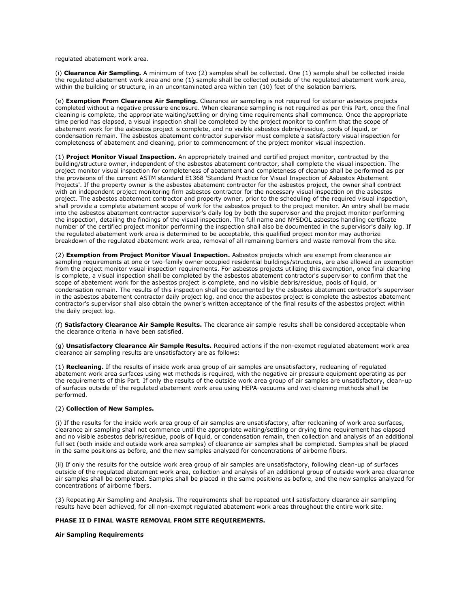regulated abatement work area.

(i) **Clearance Air Sampling.** A minimum of two (2) samples shall be collected. One (1) sample shall be collected inside the regulated abatement work area and one (1) sample shall be collected outside of the regulated abatement work area, within the building or structure, in an uncontaminated area within ten (10) feet of the isolation barriers.

(e) **Exemption From Clearance Air Sampling.** Clearance air sampling is not required for exterior asbestos projects completed without a negative pressure enclosure. When clearance sampling is not required as per this Part, once the final cleaning is complete, the appropriate waiting/settling or drying time requirements shall commence. Once the appropriate time period has elapsed, a visual inspection shall be completed by the project monitor to confirm that the scope of abatement work for the asbestos project is complete, and no visible asbestos debris/residue, pools of liquid, or condensation remain. The asbestos abatement contractor supervisor must complete a satisfactory visual inspection for completeness of abatement and cleaning, prior to commencement of the project monitor visual inspection.

(1) **Project Monitor Visual Inspection.** An appropriately trained and certified project monitor, contracted by the building/structure owner, independent of the asbestos abatement contractor, shall complete the visual inspection. The project monitor visual inspection for completeness of abatement and completeness of cleanup shall be performed as per the provisions of the current ASTM standard E1368 'Standard Practice for Visual Inspection of Asbestos Abatement Projects'. If the property owner is the asbestos abatement contractor for the asbestos project, the owner shall contract with an independent project monitoring firm asbestos contractor for the necessary visual inspection on the asbestos project. The asbestos abatement contractor and property owner, prior to the scheduling of the required visual inspection, shall provide a complete abatement scope of work for the asbestos project to the project monitor. An entry shall be made into the asbestos abatement contractor supervisor's daily log by both the supervisor and the project monitor performing the inspection, detailing the findings of the visual inspection. The full name and NYSDOL asbestos handling certificate number of the certified project monitor performing the inspection shall also be documented in the supervisor's daily log. If the regulated abatement work area is determined to be acceptable, this qualified project monitor may authorize breakdown of the regulated abatement work area, removal of all remaining barriers and waste removal from the site.

(2) **Exemption from Project Monitor Visual Inspection.** Asbestos projects which are exempt from clearance air sampling requirements at one or two-family owner occupied residential buildings/structures, are also allowed an exemption from the project monitor visual inspection requirements. For asbestos projects utilizing this exemption, once final cleaning is complete, a visual inspection shall be completed by the asbestos abatement contractor's supervisor to confirm that the scope of abatement work for the asbestos project is complete, and no visible debris/residue, pools of liquid, or condensation remain. The results of this inspection shall be documented by the asbestos abatement contractor's supervisor in the asbestos abatement contractor daily project log, and once the asbestos project is complete the asbestos abatement contractor's supervisor shall also obtain the owner's written acceptance of the final results of the asbestos project within the daily project log.

(f) **Satisfactory Clearance Air Sample Results.** The clearance air sample results shall be considered acceptable when the clearance criteria in have been satisfied.

(g) **Unsatisfactory Clearance Air Sample Results.** Required actions if the non-exempt regulated abatement work area clearance air sampling results are unsatisfactory are as follows:

(1) **Recleaning.** If the results of inside work area group of air samples are unsatisfactory, recleaning of regulated abatement work area surfaces using wet methods is required, with the negative air pressure equipment operating as per the requirements of this Part. If only the results of the outside work area group of air samples are unsatisfactory, clean-up of surfaces outside of the regulated abatement work area using HEPA-vacuums and wet-cleaning methods shall be performed.

# (2) **Collection of New Samples.**

(i) If the results for the inside work area group of air samples are unsatisfactory, after recleaning of work area surfaces, clearance air sampling shall not commence until the appropriate waiting/settling or drying time requirement has elapsed and no visible asbestos debris/residue, pools of liquid, or condensation remain, then collection and analysis of an additional full set (both inside and outside work area samples) of clearance air samples shall be completed. Samples shall be placed in the same positions as before, and the new samples analyzed for concentrations of airborne fibers.

(ii) If only the results for the outside work area group of air samples are unsatisfactory, following clean-up of surfaces outside of the regulated abatement work area, collection and analysis of an additional group of outside work area clearance air samples shall be completed. Samples shall be placed in the same positions as before, and the new samples analyzed for concentrations of airborne fibers.

(3) Repeating Air Sampling and Analysis. The requirements shall be repeated until satisfactory clearance air sampling results have been achieved, for all non-exempt regulated abatement work areas throughout the entire work site.

# **PHASE II D FINAL WASTE REMOVAL FROM SITE REQUIREMENTS.**

# **Air Sampling Requirements**